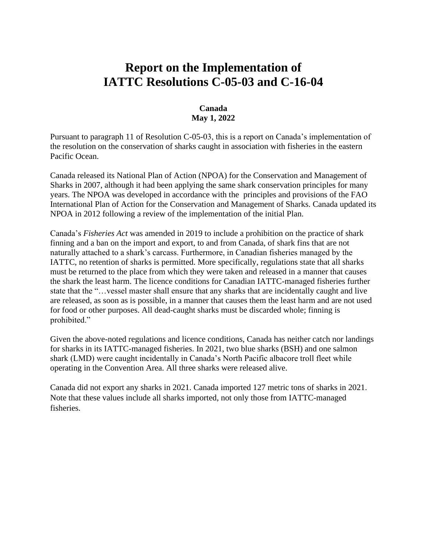# **Report on the Implementation of IATTC Resolutions C-05-03 and C-16-04**

### **Canada May 1, 2022**

Pursuant to paragraph 11 of Resolution C-05-03, this is a report on Canada's implementation of the resolution on the conservation of sharks caught in association with fisheries in the eastern Pacific Ocean.

Canada released its National Plan of Action (NPOA) for the Conservation and Management of Sharks in 2007, although it had been applying the same shark conservation principles for many years. The NPOA was developed in accordance with the principles and provisions of the FAO International Plan of Action for the Conservation and Management of Sharks. Canada updated its NPOA in 2012 following a review of the implementation of the initial Plan.

Canada's *Fisheries Act* was amended in 2019 to include a prohibition on the practice of shark finning and a ban on the import and export, to and from Canada, of shark fins that are not naturally attached to a shark's carcass. Furthermore, in Canadian fisheries managed by the IATTC, no retention of sharks is permitted. More specifically, regulations state that all sharks must be returned to the place from which they were taken and released in a manner that causes the shark the least harm. The licence conditions for Canadian IATTC-managed fisheries further state that the "…vessel master shall ensure that any sharks that are incidentally caught and live are released, as soon as is possible, in a manner that causes them the least harm and are not used for food or other purposes. All dead-caught sharks must be discarded whole; finning is prohibited."

Given the above-noted regulations and licence conditions, Canada has neither catch nor landings for sharks in its IATTC-managed fisheries. In 2021, two blue sharks (BSH) and one salmon shark (LMD) were caught incidentally in Canada's North Pacific albacore troll fleet while operating in the Convention Area. All three sharks were released alive.

Canada did not export any sharks in 2021. Canada imported 127 metric tons of sharks in 2021. Note that these values include all sharks imported, not only those from IATTC-managed fisheries.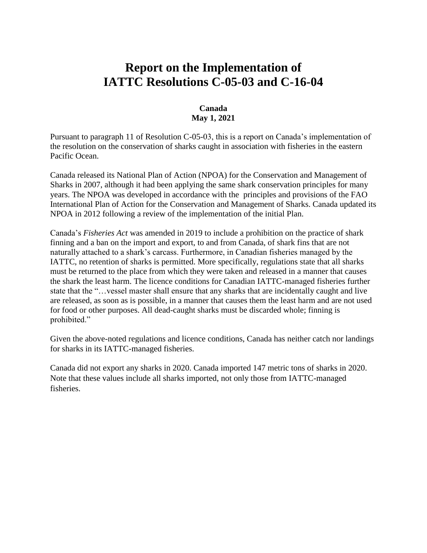# **Report on the Implementation of IATTC Resolutions C-05-03 and C-16-04**

### **Canada May 1, 2021**

Pursuant to paragraph 11 of Resolution C-05-03, this is a report on Canada's implementation of the resolution on the conservation of sharks caught in association with fisheries in the eastern Pacific Ocean.

Canada released its National Plan of Action (NPOA) for the Conservation and Management of Sharks in 2007, although it had been applying the same shark conservation principles for many years. The NPOA was developed in accordance with the principles and provisions of the FAO International Plan of Action for the Conservation and Management of Sharks. Canada updated its NPOA in 2012 following a review of the implementation of the initial Plan.

Canada's *Fisheries Act* was amended in 2019 to include a prohibition on the practice of shark finning and a ban on the import and export, to and from Canada, of shark fins that are not naturally attached to a shark's carcass. Furthermore, in Canadian fisheries managed by the IATTC, no retention of sharks is permitted. More specifically, regulations state that all sharks must be returned to the place from which they were taken and released in a manner that causes the shark the least harm. The licence conditions for Canadian IATTC-managed fisheries further state that the "…vessel master shall ensure that any sharks that are incidentally caught and live are released, as soon as is possible, in a manner that causes them the least harm and are not used for food or other purposes. All dead-caught sharks must be discarded whole; finning is prohibited."

Given the above-noted regulations and licence conditions, Canada has neither catch nor landings for sharks in its IATTC-managed fisheries.

Canada did not export any sharks in 2020. Canada imported 147 metric tons of sharks in 2020. Note that these values include all sharks imported, not only those from IATTC-managed fisheries.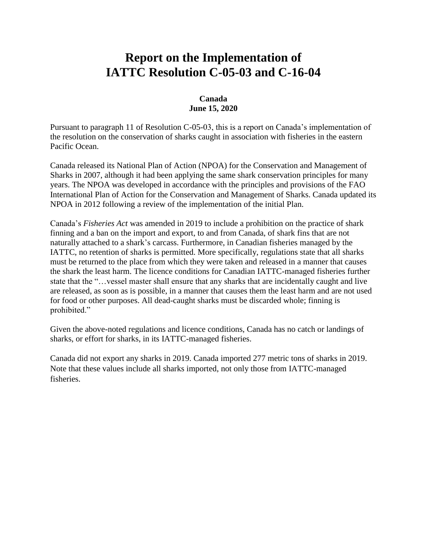# **Report on the Implementation of IATTC Resolution C-05-03 and C-16-04**

### **Canada June 15, 2020**

Pursuant to paragraph 11 of Resolution C-05-03, this is a report on Canada's implementation of the resolution on the conservation of sharks caught in association with fisheries in the eastern Pacific Ocean.

Canada released its National Plan of Action (NPOA) for the Conservation and Management of Sharks in 2007, although it had been applying the same shark conservation principles for many years. The NPOA was developed in accordance with the principles and provisions of the FAO International Plan of Action for the Conservation and Management of Sharks. Canada updated its NPOA in 2012 following a review of the implementation of the initial Plan.

Canada's *Fisheries Act* was amended in 2019 to include a prohibition on the practice of shark finning and a ban on the import and export, to and from Canada, of shark fins that are not naturally attached to a shark's carcass. Furthermore, in Canadian fisheries managed by the IATTC, no retention of sharks is permitted. More specifically, regulations state that all sharks must be returned to the place from which they were taken and released in a manner that causes the shark the least harm. The licence conditions for Canadian IATTC-managed fisheries further state that the "…vessel master shall ensure that any sharks that are incidentally caught and live are released, as soon as is possible, in a manner that causes them the least harm and are not used for food or other purposes. All dead-caught sharks must be discarded whole; finning is prohibited."

Given the above-noted regulations and licence conditions, Canada has no catch or landings of sharks, or effort for sharks, in its IATTC-managed fisheries.

Canada did not export any sharks in 2019. Canada imported 277 metric tons of sharks in 2019. Note that these values include all sharks imported, not only those from IATTC-managed fisheries.